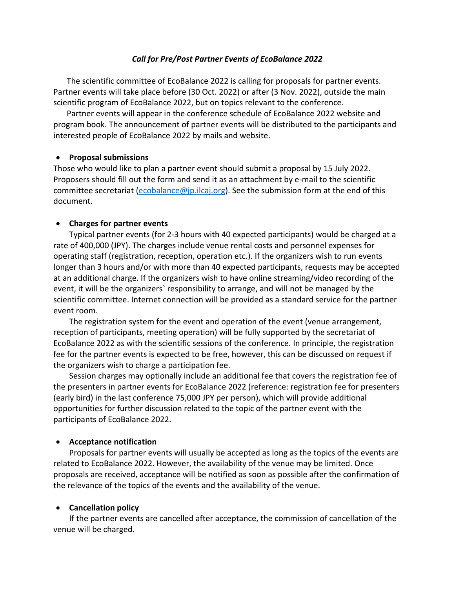## *Call for Pre/Post Partner Events of EcoBalance 2022*

The scientific committee of EcoBalance 2022 is calling for proposals for partner events. Partner events will take place before (30 Oct. 2022) or after (3 Nov. 2022), outside the main scientific program of EcoBalance 2022, but on topics relevant to the conference.

Partner events will appear in the conference schedule of EcoBalance 2022 website and program book. The announcement of partner events will be distributed to the participants and interested people of EcoBalance 2022 by mails and website.

## • **Proposal submissions**

Those who would like to plan a partner event should submit a proposal by 15 July 2022. Proposers should fill out the form and send it as an attachment by e-mail to the scientific committee secretariat (ecobalance@jp.ilcaj.org). See the submission form at the end of this document.

## • **Charges for partner events**

Typical partner events (for 2-3 hours with 40 expected participants) would be charged at a rate of 400,000 (JPY). The charges include venue rental costs and personnel expenses for operating staff (registration, reception, operation etc.). If the organizers wish to run events longer than 3 hours and/or with more than 40 expected participants, requests may be accepted at an additional charge. If the organizers wish to have online streaming/video recording of the event, it will be the organizers` responsibility to arrange, and will not be managed by the scientific committee. Internet connection will be provided as a standard service for the partner event room.

The registration system for the event and operation of the event (venue arrangement, reception of participants, meeting operation) will be fully supported by the secretariat of EcoBalance 2022 as with the scientific sessions of the conference. In principle, the registration fee for the partner events is expected to be free, however, this can be discussed on request if the organizers wish to charge a participation fee.

Session charges may optionally include an additional fee that covers the registration fee of the presenters in partner events for EcoBalance 2022 (reference: registration fee for presenters (early bird) in the last conference 75,000 JPY per person), which will provide additional opportunities for further discussion related to the topic of the partner event with the participants of EcoBalance 2022.

## • **Acceptance notification**

Proposals for partner events will usually be accepted as long as the topics of the events are related to EcoBalance 2022. However, the availability of the venue may be limited. Once proposals are received, acceptance will be notified as soon as possible after the confirmation of the relevance of the topics of the events and the availability of the venue.

#### • **Cancellation policy**

If the partner events are cancelled after acceptance, the commission of cancellation of the venue will be charged.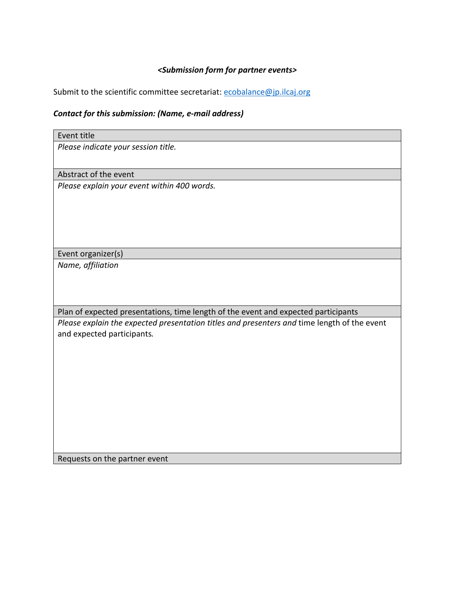# *<Submission form for partner events>*

Submit to the scientific committee secretariat: ecobalance@jp.ilcaj.org

# *Contact for this submission: (Name, e-mail address)*

| Event title                                                                                 |
|---------------------------------------------------------------------------------------------|
| Please indicate your session title.                                                         |
|                                                                                             |
| Abstract of the event                                                                       |
| Please explain your event within 400 words.                                                 |
|                                                                                             |
|                                                                                             |
|                                                                                             |
|                                                                                             |
| Event organizer(s)                                                                          |
| Name, affiliation                                                                           |
|                                                                                             |
|                                                                                             |
|                                                                                             |
| Plan of expected presentations, time length of the event and expected participants          |
| Please explain the expected presentation titles and presenters and time length of the event |
| and expected participants.                                                                  |
|                                                                                             |
|                                                                                             |
|                                                                                             |
|                                                                                             |
|                                                                                             |
|                                                                                             |
|                                                                                             |
|                                                                                             |

Requests on the partner event